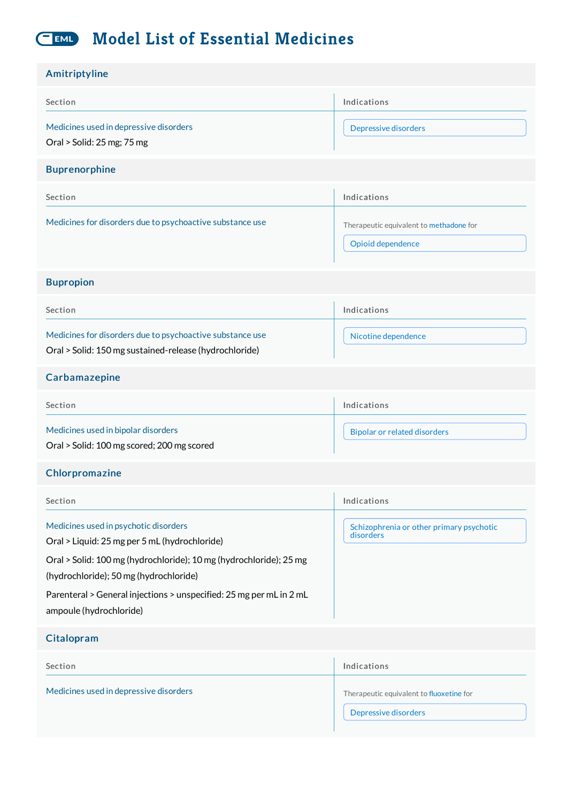#### **Model List of Essential Medicines** EML

| Amitriptyline                                                                                                                                                                                                                                                                                            |                                                                  |
|----------------------------------------------------------------------------------------------------------------------------------------------------------------------------------------------------------------------------------------------------------------------------------------------------------|------------------------------------------------------------------|
| Section                                                                                                                                                                                                                                                                                                  | Indications                                                      |
| Medicines used in depressive disorders<br>Oral > Solid: 25 mg; 75 mg                                                                                                                                                                                                                                     | Depressive disorders                                             |
| <b>Buprenorphine</b>                                                                                                                                                                                                                                                                                     |                                                                  |
| Section                                                                                                                                                                                                                                                                                                  | Indications                                                      |
| Medicines for disorders due to psychoactive substance use                                                                                                                                                                                                                                                | Therapeutic equivalent to methadone for<br>Opioid dependence     |
| <b>Bupropion</b>                                                                                                                                                                                                                                                                                         |                                                                  |
| Section                                                                                                                                                                                                                                                                                                  | Indications                                                      |
| Medicines for disorders due to psychoactive substance use<br>Oral > Solid: 150 mg sustained-release (hydrochloride)                                                                                                                                                                                      | Nicotine dependence                                              |
| Carbamazepine                                                                                                                                                                                                                                                                                            |                                                                  |
| Section                                                                                                                                                                                                                                                                                                  | Indications                                                      |
| Medicines used in bipolar disorders<br>Oral > Solid: 100 mg scored; 200 mg scored                                                                                                                                                                                                                        | <b>Bipolar or related disorders</b>                              |
| Chlorpromazine                                                                                                                                                                                                                                                                                           |                                                                  |
| Section                                                                                                                                                                                                                                                                                                  | Indications                                                      |
| Medicines used in psychotic disorders<br>Oral > Liquid: 25 mg per 5 mL (hydrochloride)<br>Oral > Solid: 100 mg (hydrochloride); 10 mg (hydrochloride); 25 mg<br>(hydrochloride); 50 mg (hydrochloride)<br>Parenteral > General injections > unspecified: 25 mg per mL in 2 mL<br>ampoule (hydrochloride) | Schizophrenia or other primary psychotic<br>disorders            |
| Citalopram                                                                                                                                                                                                                                                                                               |                                                                  |
| Section                                                                                                                                                                                                                                                                                                  | Indications                                                      |
| Medicines used in depressive disorders                                                                                                                                                                                                                                                                   | Therapeutic equivalent to fluoxetine for<br>Depressive disorders |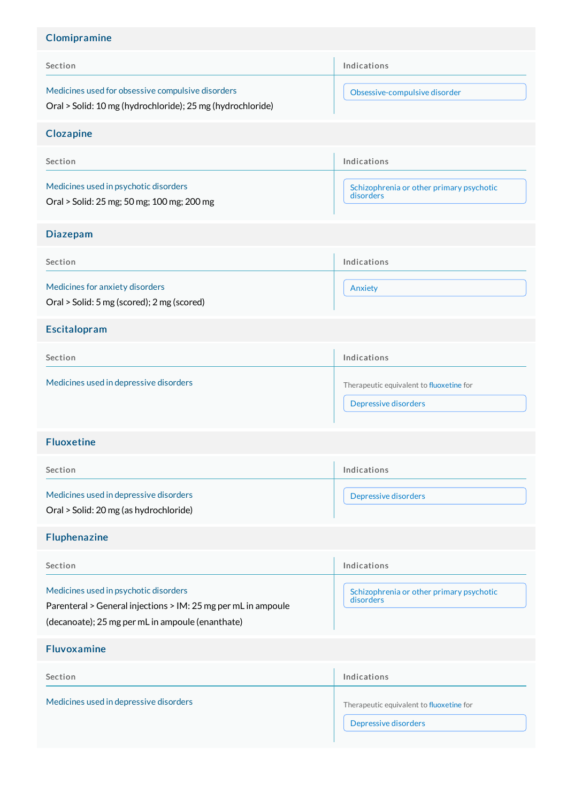# Clomipramine

| Section                                                                                                                                                    | Indications                                                      |
|------------------------------------------------------------------------------------------------------------------------------------------------------------|------------------------------------------------------------------|
| Medicines used for obsessive compulsive disorders<br>Oral > Solid: 10 mg (hydrochloride); 25 mg (hydrochloride)                                            | Obsessive-compulsive disorder                                    |
| <b>Clozapine</b>                                                                                                                                           |                                                                  |
| Section                                                                                                                                                    | Indications                                                      |
| Medicines used in psychotic disorders<br>Oral > Solid: 25 mg; 50 mg; 100 mg; 200 mg                                                                        | Schizophrenia or other primary psychotic<br>disorders            |
| <b>Diazepam</b>                                                                                                                                            |                                                                  |
| Section                                                                                                                                                    | Indications                                                      |
| Medicines for anxiety disorders<br>Oral > Solid: 5 mg (scored); 2 mg (scored)                                                                              | Anxiety                                                          |
| Escitalopram                                                                                                                                               |                                                                  |
| Section                                                                                                                                                    | Indications                                                      |
| Medicines used in depressive disorders                                                                                                                     | Therapeutic equivalent to fluoxetine for<br>Depressive disorders |
| <b>Fluoxetine</b>                                                                                                                                          |                                                                  |
| Section                                                                                                                                                    | Indications                                                      |
| Medicines used in depressive disorders<br>Oral > Solid: 20 mg (as hydrochloride)                                                                           | Depressive disorders                                             |
| <b>Fluphenazine</b>                                                                                                                                        |                                                                  |
| Section                                                                                                                                                    | Indications                                                      |
| Medicines used in psychotic disorders<br>Parenteral > General injections > IM: 25 mg per mL in ampoule<br>(decanoate); 25 mg per mL in ampoule (enanthate) | Schizophrenia or other primary psychotic<br>disorders            |
| <b>Fluvoxamine</b>                                                                                                                                         |                                                                  |
| Section                                                                                                                                                    | Indications                                                      |
| Medicines used in depressive disorders                                                                                                                     | Therapeutic equivalent to fluoxetine for<br>Depressive disorders |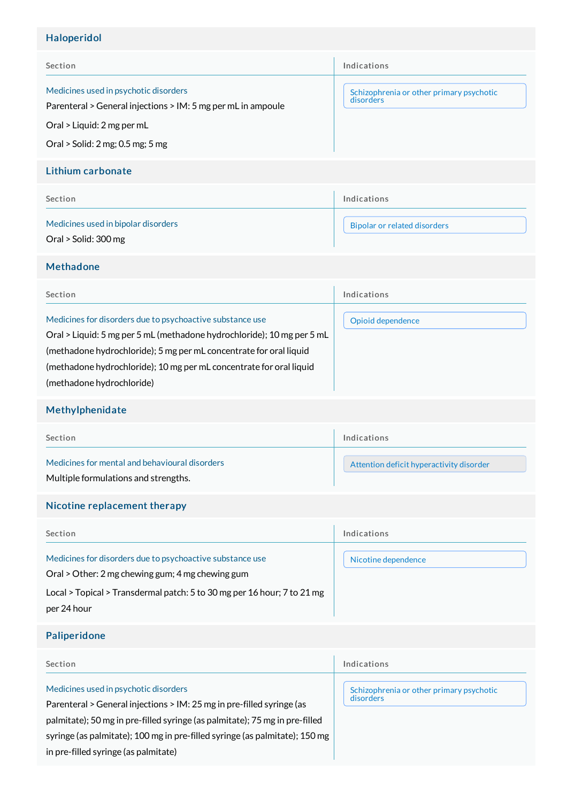## Haloperidol

| Section                                                                                                                                                                 | Indications                                           |
|-------------------------------------------------------------------------------------------------------------------------------------------------------------------------|-------------------------------------------------------|
| Medicines used in psychotic disorders<br>Parenteral > General injections > IM: 5 mg per mL in ampoule<br>Oral > Liquid: 2 mg per mL<br>Oral > Solid: 2 mg; 0.5 mg; 5 mg | Schizophrenia or other primary psychotic<br>disorders |

## Lithium carbonate

| Section                                                     | Indications                  |
|-------------------------------------------------------------|------------------------------|
| Medicines used in bipolar disorders<br>Oral > Solid: 300 mg | Bipolar or related disorders |

### Methadone

| Section                                                                                                                                                                                                                                                                                                       | Indications       |
|---------------------------------------------------------------------------------------------------------------------------------------------------------------------------------------------------------------------------------------------------------------------------------------------------------------|-------------------|
| Medicines for disorders due to psychoactive substance use<br>Oral > Liquid: 5 mg per 5 mL (methadone hydrochloride); 10 mg per 5 mL<br>(methadone hydrochloride); 5 mg per mL concentrate for oral liquid<br>(methadone hydrochloride); 10 mg per mL concentrate for oral liquid<br>(methadone hydrochloride) | Opioid dependence |

## Methylphenidate

| Section                                                                                | Indications                              |
|----------------------------------------------------------------------------------------|------------------------------------------|
| Medicines for mental and behavioural disorders<br>Multiple formulations and strengths. | Attention deficit hyperactivity disorder |

## Nicotine replacement therapy

| Section                                                                                                                                                                                                 | Indications         |
|---------------------------------------------------------------------------------------------------------------------------------------------------------------------------------------------------------|---------------------|
| Medicines for disorders due to psychoactive substance use<br>Oral > Other: 2 mg chewing gum; 4 mg chewing gum<br>Local > Topical > Transdermal patch: 5 to 30 mg per 16 hour; 7 to 21 mg<br>per 24 hour | Nicotine dependence |

## Paliperidone

| <b>Section</b>                                                                                                                                                                                                                                                                                                       | Indications                                           |
|----------------------------------------------------------------------------------------------------------------------------------------------------------------------------------------------------------------------------------------------------------------------------------------------------------------------|-------------------------------------------------------|
| Medicines used in psychotic disorders<br>Parenteral > General injections > IM: 25 mg in pre-filled syringe (as<br>palmitate); 50 mg in pre-filled syringe (as palmitate); 75 mg in pre-filled<br>syringe (as palmitate); 100 mg in pre-filled syringe (as palmitate); 150 mg<br>in pre-filled syringe (as palmitate) | Schizophrenia or other primary psychotic<br>disorders |
|                                                                                                                                                                                                                                                                                                                      |                                                       |